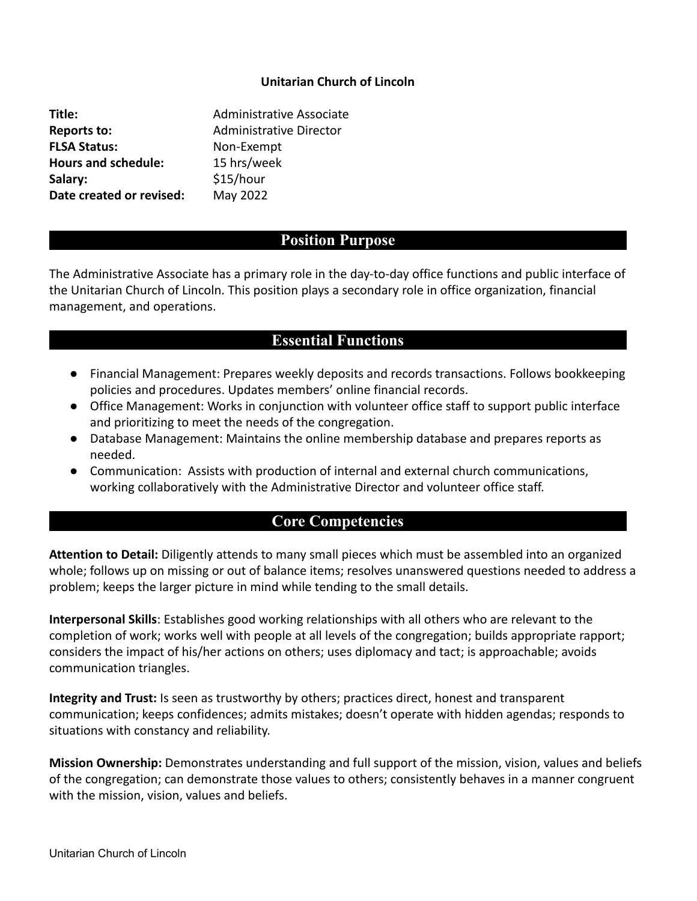#### **Unitarian Church of Lincoln**

**Title:** Administrative Associate **Reports to:** Administrative Director **FLSA Status:** Non-Exempt **Hours and schedule:** 15 hrs/week Salary: \$15/hour **Date created or revised:** May 2022

## **Position Purpose**

The Administrative Associate has a primary role in the day-to-day office functions and public interface of the Unitarian Church of Lincoln. This position plays a secondary role in office organization, financial management, and operations.

## **Essential Functions**

- Financial Management: Prepares weekly deposits and records transactions. Follows bookkeeping policies and procedures. Updates members' online financial records.
- Office Management: Works in conjunction with volunteer office staff to support public interface and prioritizing to meet the needs of the congregation.
- Database Management: Maintains the online membership database and prepares reports as needed.
- Communication: Assists with production of internal and external church communications, working collaboratively with the Administrative Director and volunteer office staff.

# **Core Competencies**

**Attention to Detail:** Diligently attends to many small pieces which must be assembled into an organized whole; follows up on missing or out of balance items; resolves unanswered questions needed to address a problem; keeps the larger picture in mind while tending to the small details.

**Interpersonal Skills**: Establishes good working relationships with all others who are relevant to the completion of work; works well with people at all levels of the congregation; builds appropriate rapport; considers the impact of his/her actions on others; uses diplomacy and tact; is approachable; avoids communication triangles.

**Integrity and Trust:** Is seen as trustworthy by others; practices direct, honest and transparent communication; keeps confidences; admits mistakes; doesn't operate with hidden agendas; responds to situations with constancy and reliability.

**Mission Ownership:** Demonstrates understanding and full support of the mission, vision, values and beliefs of the congregation; can demonstrate those values to others; consistently behaves in a manner congruent with the mission, vision, values and beliefs.